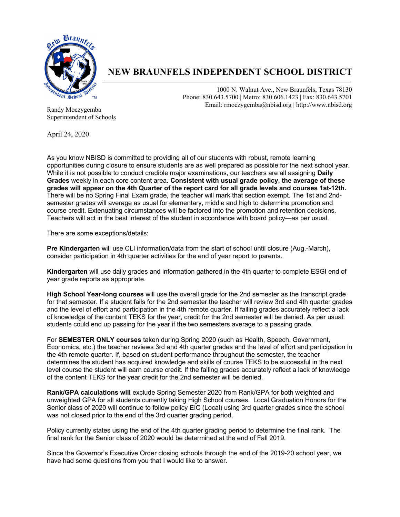

# **NEW BRAUNFELS INDEPENDENT SCHOOL DISTRICT**

1000 N. Walnut Ave., New Braunfels, Texas 78130 Phone: 830.643.5700 | Metro: 830.606.1423 | Fax: 830.643.5701 Email: rmoczygemba@nbisd.org | http://www.nbisd.org

Randy Moczygemba Superintendent of Schools

April 24, 2020

As you know NBISD is committed to providing all of our students with robust, remote learning opportunities during closure to ensure students are as well prepared as possible for the next school year. While it is not possible to conduct credible major examinations, our teachers are all assigning **Daily Grades** weekly in each core content area. **Consistent with usual grade policy, the average of these grades will appear on the 4th Quarter of the report card for all grade levels and courses 1st-12th.**  There will be no Spring Final Exam grade, the teacher will mark that section exempt. The 1st and 2ndsemester grades will average as usual for elementary, middle and high to determine promotion and course credit. Extenuating circumstances will be factored into the promotion and retention decisions. Teachers will act in the best interest of the student in accordance with board policy—as per usual.

There are some exceptions/details:

**Pre Kindergarten** will use CLI information/data from the start of school until closure (Aug.-March), consider participation in 4th quarter activities for the end of year report to parents.

**Kindergarten** will use daily grades and information gathered in the 4th quarter to complete ESGI end of year grade reports as appropriate.

**High School Year-long courses** will use the overall grade for the 2nd semester as the transcript grade for that semester. If a student fails for the 2nd semester the teacher will review 3rd and 4th quarter grades and the level of effort and participation in the 4th remote quarter. If failing grades accurately reflect a lack of knowledge of the content TEKS for the year, credit for the 2nd semester will be denied. As per usual: students could end up passing for the year if the two semesters average to a passing grade.

For **SEMESTER ONLY courses** taken during Spring 2020 (such as Health, Speech, Government, Economics, etc.) the teacher reviews 3rd and 4th quarter grades and the level of effort and participation in the 4th remote quarter. If, based on student performance throughout the semester, the teacher determines the student has acquired knowledge and skills of course TEKS to be successful in the next level course the student will earn course credit. If the failing grades accurately reflect a lack of knowledge of the content TEKS for the year credit for the 2nd semester will be denied.

**Rank/GPA calculations will** exclude Spring Semester 2020 from Rank/GPA for both weighted and unweighted GPA for all students currently taking High School courses. Local Graduation Honors for the Senior class of 2020 will continue to follow policy EIC (Local) using 3rd quarter grades since the school was not closed prior to the end of the 3rd quarter grading period.

Policy currently states using the end of the 4th quarter grading period to determine the final rank. The final rank for the Senior class of 2020 would be determined at the end of Fall 2019.

Since the Governor's Executive Order closing schools through the end of the 2019-20 school year, we have had some questions from you that I would like to answer.